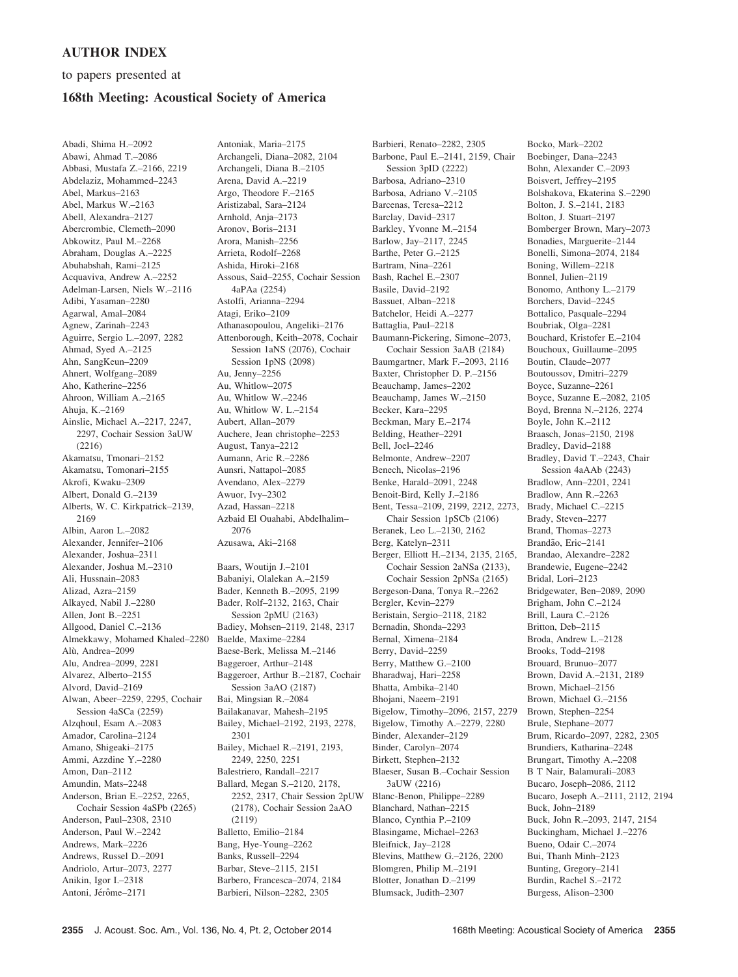## AUTHOR INDEX

to papers presented at

## 168th Meeting: Acoustical Society of America

Abadi, Shima H.–2092 Abawi, Ahmad T.–2086 Abbasi, Mustafa Z.–2166, 2219 Abdelaziz, Mohammed–2243 Abel, Markus–2163 Abel, Markus W.–2163 Abell, Alexandra–2127 Abercrombie, Clemeth–2090 Abkowitz, Paul M.–2268 Abraham, Douglas A.–2225 Abuhabshah, Rami–2125 Acquaviva, Andrew A.–2252 Adelman-Larsen, Niels W.–2116 Adibi, Yasaman–2280 Agarwal, Amal–2084 Agnew, Zarinah–2243 Aguirre, Sergio L.–2097, 2282 Ahmad, Syed A.–2125 Ahn, SangKeun–2209 Ahnert, Wolfgang–2089 Aho, Katherine–2256 Ahroon, William A.–2165 Ahuja, K.–2169 Ainslie, Michael A.–2217, 2247, 2297, Cochair Session 3aUW (2216) Akamatsu, Tmonari–2152 Akamatsu, Tomonari–2155 Akrofi, Kwaku–2309 Albert, Donald G.–2139 Alberts, W. C. Kirkpatrick–2139, 2169 Albin, Aaron L.–2082 Alexander, Jennifer–2106 Alexander, Joshua–2311 Alexander, Joshua M.–2310 Ali, Hussnain–2083 Alizad, Azra–2159 Alkayed, Nabil J.–2280 Allen, Jont B.–2251 Allgood, Daniel C.–2136 Almekkawy, Mohamed Khaled–2280 Alù, Andrea-2099 Alu, Andrea–2099, 2281 Alvarez, Alberto–2155 Alvord, David–2169 Alwan, Abeer–2259, 2295, Cochair Session 4aSCa (2259) Alzqhoul, Esam A.–2083 Amador, Carolina–2124 Amano, Shigeaki–2175 Ammi, Azzdine Y.–2280 Amon, Dan–2112 Amundin, Mats–2248 Anderson, Brian E.–2252, 2265, Cochair Session 4aSPb (2265) Anderson, Paul–2308, 2310 Anderson, Paul W.–2242 Andrews, Mark–2226 Andrews, Russel D.–2091 Andriolo, Artur–2073, 2277 Anikin, Igor I.–2318 Antoni, Jérôme–2171

Antoniak, Maria–2175 Archangeli, Diana–2082, 2104 Archangeli, Diana B.–2105 Arena, David A.–2219 Argo, Theodore F.–2165 Aristizabal, Sara–2124 Arnhold, Anja–2173 Aronov, Boris–2131 Arora, Manish–2256 Arrieta, Rodolf–2268 Ashida, Hiroki–2168 Assous, Said–2255, Cochair Session 4aPAa (2254) Astolfi, Arianna–2294 Atagi, Eriko–2109 Athanasopoulou, Angeliki–2176 Attenborough, Keith–2078, Cochair Session 1aNS (2076), Cochair Session 1pNS (2098) Au, Jenny–2256 Au, Whitlow–2075 Au, Whitlow W.–2246 Au, Whitlow W. L.–2154 Aubert, Allan–2079 Auchere, Jean christophe–2253 August, Tanya–2212 Aumann, Aric R.–2286 Aunsri, Nattapol–2085 Avendano, Alex–2279 Awuor, Ivy–2302 Azad, Hassan–2218 Azbaid El Ouahabi, Abdelhalim– 2076 Azusawa, Aki–2168

Baars, Woutijn J.–2101 Babaniyi, Olalekan A.–2159 Bader, Kenneth B.–2095, 2199 Bader, Rolf–2132, 2163, Chair Session 2pMU (2163) Badiey, Mohsen–2119, 2148, 2317 Baelde, Maxime–2284 Baese-Berk, Melissa M.–2146 Baggeroer, Arthur–2148 Baggeroer, Arthur B.–2187, Cochair Session 3aAO (2187) Bai, Mingsian R.–2084 Bailakanavar, Mahesh–2195 Bailey, Michael–2192, 2193, 2278, 2301 Bailey, Michael R.–2191, 2193, 2249, 2250, 2251 Balestriero, Randall–2217 Ballard, Megan S.–2120, 2178, 2252, 2317, Chair Session 2pUW (2178), Cochair Session 2aAO (2119) Balletto, Emilio–2184 Bang, Hye-Young–2262 Banks, Russell–2294 Barbar, Steve–2115, 2151 Barbero, Francesca–2074, 2184 Barbieri, Nilson–2282, 2305

Barbieri, Renato–2282, 2305 Barbone, Paul E.–2141, 2159, Chair Session 3pID (2222) Barbosa, Adriano–2310 Barbosa, Adriano V.–2105 Barcenas, Teresa–2212 Barclay, David–2317 Barkley, Yvonne M.–2154 Barlow, Jay–2117, 2245 Barthe, Peter G.–2125 Bartram, Nina–2261 Bash, Rachel E.–2307 Basile, David–2192 Bassuet, Alban–2218 Batchelor, Heidi A.–2277 Battaglia, Paul–2218 Baumann-Pickering, Simone–2073, Cochair Session 3aAB (2184) Baumgartner, Mark F.–2093, 2116 Baxter, Christopher D. P.–2156 Beauchamp, James–2202 Beauchamp, James W.–2150 Becker, Kara–2295 Beckman, Mary E.–2174 Belding, Heather–2291 Bell, Joel–2246 Belmonte, Andrew–2207 Benech, Nicolas–2196 Benke, Harald–2091, 2248 Benoit-Bird, Kelly J.–2186 Bent, Tessa–2109, 2199, 2212, 2273, Chair Session 1pSCb (2106) Beranek, Leo L.–2130, 2162 Berg, Katelyn–2311 Berger, Elliott H.–2134, 2135, 2165, Cochair Session 2aNSa (2133), Cochair Session 2pNSa (2165) Bergeson-Dana, Tonya R.–2262 Bergler, Kevin–2279 Beristain, Sergio–2118, 2182 Bernadin, Shonda–2293 Bernal, Ximena–2184 Berry, David–2259 Berry, Matthew G.–2100 Bharadwaj, Hari–2258 Bhatta, Ambika–2140 Bhojani, Naeem–2191 Bigelow, Timothy–2096, 2157, 2279 Bigelow, Timothy A.–2279, 2280 Binder, Alexander–2129 Binder, Carolyn–2074 Birkett, Stephen–2132 Blaeser, Susan B.–Cochair Session 3aUW (2216) Blanc-Benon, Philippe–2289 Blanchard, Nathan–2215 Blanco, Cynthia P.–2109 Blasingame, Michael–2263 Bleifnick, Jay–2128 Blevins, Matthew G.–2126, 2200 Blomgren, Philip M.–2191 Blotter, Jonathan D.–2199 Blumsack, Judith–2307

Bocko, Mark–2202 Boebinger, Dana–2243 Bohn, Alexander C.–2093 Boisvert, Jeffrey–2195 Bolshakova, Ekaterina S.–2290 Bolton, J. S.–2141, 2183 Bolton, J. Stuart–2197 Bomberger Brown, Mary–2073 Bonadies, Marguerite–2144 Bonelli, Simona–2074, 2184 Boning, Willem–2218 Bonnel, Julien–2119 Bonomo, Anthony L.–2179 Borchers, David–2245 Bottalico, Pasquale–2294 Boubriak, Olga–2281 Bouchard, Kristofer E.–2104 Bouchoux, Guillaume–2095 Boutin, Claude–2077 Boutoussov, Dmitri–2279 Boyce, Suzanne–2261 Boyce, Suzanne E.–2082, 2105 Boyd, Brenna N.–2126, 2274 Boyle, John K.–2112 Braasch, Jonas–2150, 2198 Bradley, David–2188 Bradley, David T.–2243, Chair Session 4aAAb (2243) Bradlow, Ann–2201, 2241 Bradlow, Ann R.–2263 Brady, Michael C.–2215 Brady, Steven–2277 Brand, Thomas–2273 Brandão, Eric-2141 Brandao, Alexandre–2282 Brandewie, Eugene–2242 Bridal, Lori–2123 Bridgewater, Ben–2089, 2090 Brigham, John C.–2124 Brill, Laura C.–2126 Britton, Deb–2115 Broda, Andrew L.–2128 Brooks, Todd–2198 Brouard, Brunuo–2077 Brown, David A.–2131, 2189 Brown, Michael–2156 Brown, Michael G.–2156 Brown, Stephen–2254 Brule, Stephane–2077 Brum, Ricardo–2097, 2282, 2305 Brundiers, Katharina–2248 Brungart, Timothy A.–2208 B T Nair, Balamurali–2083 Bucaro, Joseph–2086, 2112 Bucaro, Joseph A.–2111, 2112, 2194 Buck, John–2189 Buck, John R.–2093, 2147, 2154 Buckingham, Michael J.–2276 Bueno, Odair C.–2074 Bui, Thanh Minh–2123 Bunting, Gregory–2141 Burdin, Rachel S.–2172 Burgess, Alison–2300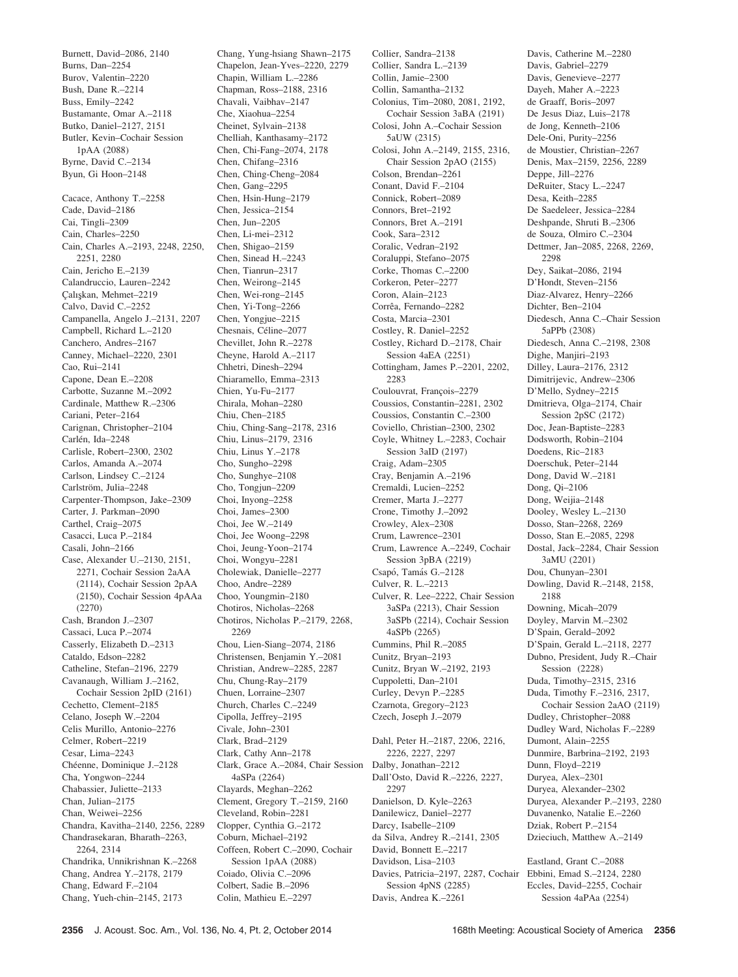Burnett, David–2086, 2140 Burns, Dan–2254 Burov, Valentin–2220 Bush, Dane R.–2214 Buss, Emily–2242 Bustamante, Omar A.–2118 Butko, Daniel–2127, 2151 Butler, Kevin–Cochair Session 1pAA (2088) Byrne, David C.–2134 Byun, Gi Hoon–2148 Cacace, Anthony T.–2258 Cade, David–2186 Cai, Tingli–2309 Cain, Charles–2250 Cain, Charles A.–2193, 2248, 2250, 2251, 2280 Cain, Jericho E.–2139 Calandruccio, Lauren–2242 Çalışkan, Mehmet-2219 Calvo, David C.–2252 Campanella, Angelo J.–2131, 2207 Campbell, Richard L.–2120 Canchero, Andres–2167 Canney, Michael–2220, 2301 Cao, Rui–2141 Capone, Dean E.–2208 Carbotte, Suzanne M.–2092 Cardinale, Matthew R.–2306 Cariani, Peter–2164 Carignan, Christopher–2104 Carlén, Ida-2248 Carlisle, Robert–2300, 2302 Carlos, Amanda A.–2074 Carlson, Lindsey C.–2124 Carlström, Julia-2248 Carpenter-Thompson, Jake–2309 Carter, J. Parkman–2090 Carthel, Craig–2075 Casacci, Luca P.–2184 Casali, John–2166 Case, Alexander U.–2130, 2151, 2271, Cochair Session 2aAA (2114), Cochair Session 2pAA (2150), Cochair Session 4pAAa (2270) Cash, Brandon J.–2307 Cassaci, Luca P.–2074 Casserly, Elizabeth D.–2313 Cataldo, Edson–2282 Catheline, Stefan–2196, 2279 Cavanaugh, William J.–2162, Cochair Session 2pID (2161) Cechetto, Clement–2185 Celano, Joseph W.–2204 Celis Murillo, Antonio–2276 Celmer, Robert–2219 Cesar, Lima–2243 Chéenne, Dominique J.-2128 Cha, Yongwon–2244 Chabassier, Juliette–2133 Chan, Julian–2175 Chan, Weiwei–2256 Chandra, Kavitha–2140, 2256, 2289 Chandrasekaran, Bharath–2263, 2264, 2314 Chandrika, Unnikrishnan K.–2268 Chang, Andrea Y.–2178, 2179 Chang, Edward F.–2104 Chang, Yueh-chin–2145, 2173

Chang, Yung-hsiang Shawn–2175 Chapelon, Jean-Yves–2220, 2279 Chapin, William L.–2286 Chapman, Ross–2188, 2316 Chavali, Vaibhav–2147 Che, Xiaohua–2254 Cheinet, Sylvain–2138 Chelliah, Kanthasamy–2172 Chen, Chi-Fang–2074, 2178 Chen, Chifang–2316 Chen, Ching-Cheng–2084 Chen, Gang–2295 Chen, Hsin-Hung–2179 Chen, Jessica–2154 Chen, Jun–2205 Chen, Li-mei–2312 Chen, Shigao–2159 Chen, Sinead H-2243 Chen, Tianrun–2317 Chen, Weirong–2145 Chen, Wei-rong–2145 Chen, Yi-Tong–2266 Chen, Yongjue–2215 Chesnais, Céline–2077 Chevillet, John R.–2278 Cheyne, Harold A.–2117 Chhetri, Dinesh–2294 Chiaramello, Emma–2313 Chien, Yu-Fu–2177 Chirala, Mohan–2280 Chiu, Chen–2185 Chiu, Ching-Sang–2178, 2316 Chiu, Linus–2179, 2316 Chiu, Linus Y.–2178 Cho, Sungho–2298 Cho, Sunghye–2108 Cho, Tongjun–2209 Choi, Inyong–2258 Choi, James–2300 Choi, Jee W.–2149 Choi, Jee Woong–2298 Choi, Jeung-Yoon–2174 Choi, Wongyu–2281 Cholewiak, Danielle–2277 Choo, Andre–2289 Choo, Youngmin–2180 Chotiros, Nicholas–2268 Chotiros, Nicholas P.–2179, 2268, 2269 Chou, Lien-Siang–2074, 2186 Christensen, Benjamin Y.–2081 Christian, Andrew–2285, 2287 Chu, Chung-Ray–2179 Chuen, Lorraine–2307 Church, Charles C.–2249 Cipolla, Jeffrey–2195 Civale, John–2301 Clark, Brad–2129 Clark, Cathy Ann–2178 Clark, Grace A.–2084, Chair Session 4aSPa (2264) Clayards, Meghan–2262 Clement, Gregory T.–2159, 2160 Cleveland, Robin–2281 Clopper, Cynthia G.–2172 Coburn, Michael–2192 Coffeen, Robert C.–2090, Cochair Session 1pAA (2088) Coiado, Olivia C.–2096 Colbert, Sadie B.–2096 Colin, Mathieu E.–2297

Collier, Sandra–2138 Collier, Sandra L.–2139 Collin, Jamie–2300 Collin, Samantha–2132 Colonius, Tim–2080, 2081, 2192, Cochair Session 3aBA (2191) Colosi, John A.–Cochair Session 5aUW (2315) Colosi, John A.–2149, 2155, 2316, Chair Session 2pAO (2155) Colson, Brendan–2261 Conant, David F.–2104 Connick, Robert–2089 Connors, Bret–2192 Connors, Bret A.–2191 Cook, Sara–2312 Coralic, Vedran–2192 Coraluppi, Stefano–2075 Corke, Thomas C.–2200 Corkeron, Peter–2277 Coron, Alain–2123 Corrêa, Fernando-2282 Costa, Marcia–2301 Costley, R. Daniel–2252 Costley, Richard D.–2178, Chair Session 4aEA (2251) Cottingham, James P.–2201, 2202, 2283 Coulouvrat, François-2279 Coussios, Constantin–2281, 2302 Coussios, Constantin C.–2300 Coviello, Christian–2300, 2302 Coyle, Whitney L.–2283, Cochair Session 3aID (2197) Craig, Adam–2305 Cray, Benjamin A.–2196 Cremaldi, Lucien–2252 Cremer, Marta J.–2277 Crone, Timothy J.–2092 Crowley, Alex–2308 Crum, Lawrence–2301 Crum, Lawrence A.–2249, Cochair Session 3pBA (2219) Csapó, Tamás G.-2128 Culver, R. L.–2213 Culver, R. Lee–2222, Chair Session 3aSPa (2213), Chair Session 3aSPb (2214), Cochair Session 4aSPb (2265) Cummins, Phil R.–2085 Cunitz, Bryan–2193 Cunitz, Bryan W.–2192, 2193 Cuppoletti, Dan–2101 Curley, Devyn P.–2285 Czarnota, Gregory–2123 Czech, Joseph J.–2079 Dahl, Peter H.–2187, 2206, 2216, 2226, 2227, 2297 Dalby, Jonathan–2212 Dall'Osto, David R.–2226, 2227, 2297 Danielson, D. Kyle–2263 Danilewicz, Daniel–2277 Darcy, Isabelle–2109 da Silva, Andrey R.–2141, 2305 David, Bonnett E.–2217 Davidson, Lisa–2103 Davies, Patricia–2197, 2287, Cochair Session 4pNS (2285)

Davis, Andrea K.–2261

Davis, Catherine M.–2280 Davis, Gabriel–2279 Davis, Genevieve–2277 Dayeh, Maher A.–2223 de Graaff, Boris–2097 De Jesus Diaz, Luis–2178 de Jong, Kenneth–2106 Dele-Oni, Purity–2256 de Moustier, Christian–2267 Denis, Max–2159, 2256, 2289 Deppe, Jill–2276 DeRuiter, Stacy L.–2247 Desa, Keith–2285 De Saedeleer, Jessica–2284 Deshpande, Shruti B.–2306 de Souza, Olmiro C.–2304 Dettmer, Jan–2085, 2268, 2269, 2298 Dey, Saikat–2086, 2194 D'Hondt, Steven–2156 Diaz-Alvarez, Henry–2266 Dichter, Ben–2104 Diedesch, Anna C.–Chair Session 5aPPb (2308) Diedesch, Anna C.–2198, 2308 Dighe, Manjiri–2193 Dilley, Laura–2176, 2312 Dimitrijevic, Andrew–2306 D'Mello, Sydney–2215 Dmitrieva, Olga–2174, Chair Session 2pSC (2172) Doc, Jean-Baptiste–2283 Dodsworth, Robin–2104 Doedens, Ric–2183 Doerschuk, Peter–2144 Dong, David W.–2181 Dong, Qi–2106 Dong, Weijia–2148 Dooley, Wesley L.–2130 Dosso, Stan–2268, 2269 Dosso, Stan E.–2085, 2298 Dostal, Jack–2284, Chair Session 3aMU (2201) Dou, Chunyan–2301 Dowling, David R.–2148, 2158, 2188 Downing, Micah–2079 Doyley, Marvin M.–2302 D'Spain, Gerald–2092 D'Spain, Gerald L.–2118, 2277 Dubno, President, Judy R.–Chair Session (2228) Duda, Timothy–2315, 2316 Duda, Timothy F.–2316, 2317, Cochair Session 2aAO (2119) Dudley, Christopher–2088 Dudley Ward, Nicholas F.–2289 Dumont, Alain–2255 Dunmire, Barbrina–2192, 2193 Dunn, Floyd–2219 Duryea, Alex–2301 Duryea, Alexander–2302 Duryea, Alexander P.–2193, 2280 Duvanenko, Natalie E.–2260 Dziak, Robert P.–2154 Dzieciuch, Matthew A.–2149 Eastland, Grant C.–2088

Ebbini, Emad S.–2124, 2280 Eccles, David–2255, Cochair Session 4aPAa (2254)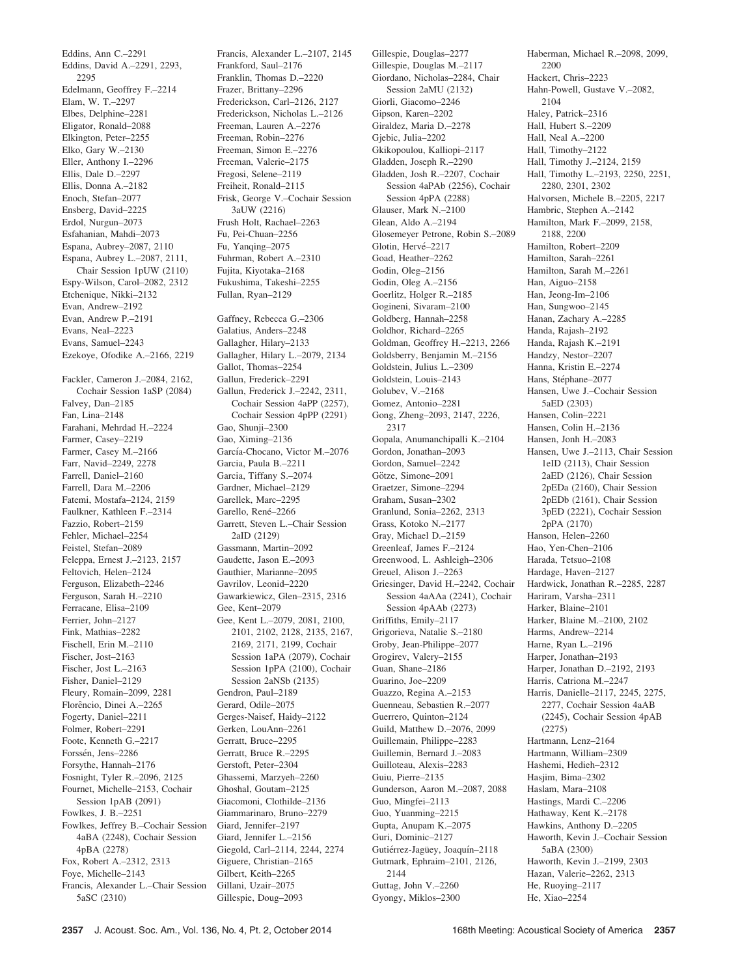Eddins, Ann C.–2291 Eddins, David A.–2291, 2293, 2295 Edelmann, Geoffrey F.–2214 Elam, W. T.–2297 Elbes, Delphine–2281 Eligator, Ronald–2088 Elkington, Peter–2255 Elko, Gary W.–2130 Eller, Anthony I.–2296 Ellis, Dale D.–2297 Ellis, Donna A.–2182 Enoch, Stefan–2077 Ensberg, David–2225 Erdol, Nurgun–2073 Esfahanian, Mahdi–2073 Espana, Aubrey–2087, 2110 Espana, Aubrey L.–2087, 2111, Chair Session 1pUW (2110) Espy-Wilson, Carol–2082, 2312 Etchenique, Nikki–2132 Evan, Andrew–2192 Evan, Andrew P.–2191 Evans, Neal–2223 Evans, Samuel–2243 Ezekoye, Ofodike A.–2166, 2219 Fackler, Cameron J.–2084, 2162, Cochair Session 1aSP (2084) Falvey, Dan–2185 Fan, Lina–2148 Farahani, Mehrdad H.–2224 Farmer, Casey–2219 Farmer, Casey M.–2166 Farr, Navid–2249, 2278 Farrell, Daniel–2160 Farrell, Dara M.–2206 Fatemi, Mostafa–2124, 2159 Faulkner, Kathleen F.–2314 Fazzio, Robert–2159 Fehler, Michael–2254 Feistel, Stefan–2089 Feleppa, Ernest J.–2123, 2157 Feltovich, Helen–2124 Ferguson, Elizabeth–2246 Ferguson, Sarah H.–2210 Ferracane, Elisa–2109 Ferrier, John–2127 Fink, Mathias–2282 Fischell, Erin M.–2110 Fischer, Jost–2163 Fischer, Jost L.–2163 Fisher, Daniel–2129 Fleury, Romain–2099, 2281 Florêncio, Dinei A.-2265 Fogerty, Daniel–2211 Folmer, Robert–2291 Foote, Kenneth G.–2217 Forssén, Jens–2286 Forsythe, Hannah–2176 Fosnight, Tyler R.–2096, 2125 Fournet, Michelle–2153, Cochair Session 1pAB (2091) Fowlkes, J. B.–2251 Fowlkes, Jeffrey B.–Cochair Session 4aBA (2248), Cochair Session 4pBA (2278) Fox, Robert A.–2312, 2313 Foye, Michelle–2143 Francis, Alexander L.–Chair Session 5aSC (2310)

Frankford, Saul–2176 Franklin, Thomas D.–2220 Frazer, Brittany–2296 Frederickson, Carl–2126, 2127 Frederickson, Nicholas L.–2126 Freeman, Lauren A.–2276 Freeman, Robin–2276 Freeman, Simon E.–2276 Freeman, Valerie–2175 Fregosi, Selene–2119 Freiheit, Ronald–2115 Frisk, George V.–Cochair Session 3aUW (2216) Frush Holt, Rachael–2263 Fu, Pei-Chuan–2256 Fu, Yanqing–2075 Fuhrman, Robert A.–2310 Fujita, Kiyotaka–2168 Fukushima, Takeshi–2255 Fullan, Ryan–2129 Gaffney, Rebecca G.–2306 Galatius, Anders–2248 Gallagher, Hilary–2133 Gallagher, Hilary L.–2079, 2134 Gallot, Thomas–2254 Gallun, Frederick–2291 Gallun, Frederick J.–2242, 2311, Cochair Session 4aPP (2257), Cochair Session 4pPP (2291) Gao, Shunii-2300 Gao, Ximing–2136 García-Chocano, Victor M.-2076 Garcia, Paula B.–2211 Garcia, Tiffany S.–2074 Gardner, Michael–2129 Garellek, Marc–2295 Garello, René-2266 Garrett, Steven L.–Chair Session 2aID (2129) Gassmann, Martin–2092 Gaudette, Jason E.–2093 Gauthier, Marianne–2095 Gavrilov, Leonid–2220 Gawarkiewicz, Glen–2315, 2316 Gee, Kent–2079 Gee, Kent L.–2079, 2081, 2100, 2101, 2102, 2128, 2135, 2167, 2169, 2171, 2199, Cochair Session 1aPA (2079), Cochair Session 1pPA (2100), Cochair Session 2aNSb (2135) Gendron, Paul–2189 Gerard, Odile–2075 Gerges-Naisef, Haidy–2122 Gerken, LouAnn–2261 Gerratt, Bruce–2295 Gerratt, Bruce R.–2295 Gerstoft, Peter–2304 Ghassemi, Marzyeh–2260 Ghoshal, Goutam–2125 Giacomoni, Clothilde–2136 Giammarinaro, Bruno–2279 Giard, Jennifer–2197 Giard, Jennifer L.–2156 Giegold, Carl–2114, 2244, 2274 Giguere, Christian–2165 Gilbert, Keith–2265 Gillani, Uzair–2075 Gillespie, Doug–2093

Francis, Alexander L.–2107, 2145

Gillespie, Douglas–2277 Gillespie, Douglas M.–2117 Giordano, Nicholas–2284, Chair Session 2aMU (2132) Giorli, Giacomo–2246 Gipson, Karen–2202 Giraldez, Maria D.–2278 Gjebic, Julia–2202 Gkikopoulou, Kalliopi–2117 Gladden, Joseph R.–2290 Gladden, Josh R.–2207, Cochair Session 4aPAb (2256), Cochair Session 4pPA (2288) Glauser, Mark N.–2100 Glean, Aldo A.–2194 Glosemeyer Petrone, Robin S.–2089 Glotin, Hervé-2217 Goad, Heather–2262 Godin, Oleg–2156 Godin, Oleg A.–2156 Goerlitz, Holger R.–2185 Gogineni, Sivaram–2100 Goldberg, Hannah–2258 Goldhor, Richard–2265 Goldman, Geoffrey H.–2213, 2266 Goldsberry, Benjamin M.–2156 Goldstein, Julius L.–2309 Goldstein, Louis–2143 Golubev, V.–2168 Gomez, Antonio–2281 Gong, Zheng–2093, 2147, 2226, 2317 Gopala, Anumanchipalli K.–2104 Gordon, Jonathan–2093 Gordon, Samuel–2242 Götze, Simone–2091 Graetzer, Simone–2294 Graham, Susan–2302 Granlund, Sonia–2262, 2313 Grass, Kotoko N.–2177 Gray, Michael D.–2159 Greenleaf, James F.–2124 Greenwood, L. Ashleigh–2306 Greuel, Alison J.–2263 Griesinger, David H.–2242, Cochair Session 4aAAa (2241), Cochair Session 4pAAb (2273) Griffiths, Emily–2117 Grigorieva, Natalie S.–2180 Groby, Jean-Philippe–2077 Grogirev, Valery–2155 Guan, Shane–2186 Guarino, Joe–2209 Guazzo, Regina A.–2153 Guenneau, Sebastien R.–2077 Guerrero, Quinton–2124 Guild, Matthew D.–2076, 2099 Guillemain, Philippe–2283 Guillemin, Bernard J.–2083 Guilloteau, Alexis–2283 Guiu, Pierre–2135 Gunderson, Aaron M.–2087, 2088 Guo, Mingfei–2113 Guo, Yuanming–2215 Gupta, Anupam K.–2075 Guri, Dominic–2127 Gutiérrez-Jagüey, Joaquín–2118 Gutmark, Ephraim–2101, 2126, 2144 Guttag, John V.–2260 Gyongy, Miklos–2300

Haberman, Michael R.–2098, 2099, 2200 Hackert, Chris–2223 Hahn-Powell, Gustave V.–2082, 2104 Haley, Patrick–2316 Hall, Hubert S.–2209 Hall, Neal A.–2200 Hall, Timothy–2122 Hall, Timothy J.–2124, 2159 Hall, Timothy L.–2193, 2250, 2251, 2280, 2301, 2302 Halvorsen, Michele B.–2205, 2217 Hambric, Stephen A.–2142 Hamilton, Mark F.–2099, 2158, 2188, 2200 Hamilton, Robert–2209 Hamilton, Sarah–2261 Hamilton, Sarah M.–2261 Han, Aiguo–2158 Han, Jeong-Im–2106 Han, Sungwoo–2145 Hanan, Zachary A.–2285 Handa, Rajash–2192 Handa, Rajash K.–2191 Handzy, Nestor–2207 Hanna, Kristin E.–2274 Hans, Stéphane–2077 Hansen, Uwe J.–Cochair Session 5aED (2303) Hansen, Colin–2221 Hansen, Colin H.–2136 Hansen, Jonh H.–2083 Hansen, Uwe J.–2113, Chair Session 1eID (2113), Chair Session 2aED (2126), Chair Session 2pEDa (2160), Chair Session 2pEDb (2161), Chair Session 3pED (2221), Cochair Session 2pPA (2170) Hanson, Helen–2260 Hao, Yen-Chen–2106 Harada, Tetsuo–2108 Hardage, Haven–2127 Hardwick, Jonathan R.–2285, 2287 Hariram, Varsha–2311 Harker, Blaine–2101 Harker, Blaine M.–2100, 2102 Harms, Andrew–2214 Harne, Ryan L.–2196 Harper, Jonathan–2193 Harper, Jonathan D.–2192, 2193 Harris, Catriona M.–2247 Harris, Danielle–2117, 2245, 2275, 2277, Cochair Session 4aAB (2245), Cochair Session 4pAB (2275) Hartmann, Lenz–2164 Hartmann, William–2309 Hashemi, Hedieh–2312 Hasjim, Bima–2302 Haslam, Mara–2108 Hastings, Mardi C.–2206 Hathaway, Kent K.–2178 Hawkins, Anthony D.–2205 Haworth, Kevin J.–Cochair Session 5aBA (2300) Haworth, Kevin J.–2199, 2303 Hazan, Valerie–2262, 2313 He, Ruoying–2117

He, Xiao–2254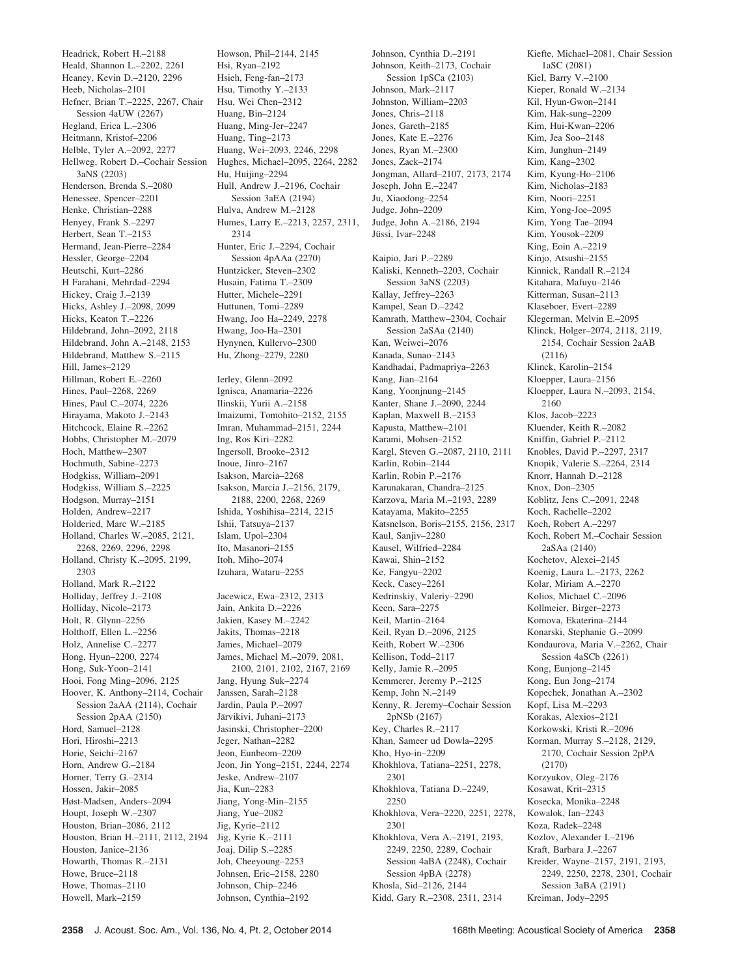Headrick, Robert H.–2188 Heald, Shannon L.–2202, 2261 Heaney, Kevin D.–2120, 2296 Heeb, Nicholas–2101 Hefner, Brian T.–2225, 2267, Chair Session 4aUW (2267) Hegland, Erica L.–2306 Heitmann, Kristof–2206 Helble, Tyler A.–2092, 2277 Hellweg, Robert D.–Cochair Session 3aNS (2203) Henderson, Brenda S.–2080 Henessee, Spencer–2201 Henke, Christian–2288 Henyey, Frank S.–2297 Herbert, Sean T.–2153 Hermand, Jean-Pierre–2284 Hessler, George–2204 Heutschi, Kurt–2286 H Farahani, Mehrdad–2294 Hickey, Craig J.–2139 Hicks, Ashley J.–2098, 2099 Hicks, Keaton T.–2226 Hildebrand, John–2092, 2118 Hildebrand, John A.–2148, 2153 Hildebrand, Matthew S.–2115 Hill, James–2129 Hillman, Robert E.–2260 Hines, Paul–2268, 2269 Hines, Paul C.–2074, 2226 Hirayama, Makoto J.–2143 Hitchcock, Elaine R.–2262 Hobbs, Christopher M.–2079 Hoch, Matthew–2307 Hochmuth, Sabine–2273 Hodgkiss, William–2091 Hodgkiss, William S.–2225 Hodgson, Murray–2151 Holden, Andrew–2217 Holderied, Marc W.–2185 Holland, Charles W.–2085, 2121, 2268, 2269, 2296, 2298 Holland, Christy K.–2095, 2199, 2303 Holland, Mark R.–2122 Holliday, Jeffrey J.–2108 Holliday, Nicole–2173 Holt, R. Glynn–2256 Holthoff, Ellen L.–2256 Holz, Annelise C.–2277 Hong, Hyun–2200, 2274 Hong, Suk-Yoon–2141 Hooi, Fong Ming–2096, 2125 Hoover, K. Anthony–2114, Cochair Session 2aAA (2114), Cochair Session 2pAA (2150) Hord, Samuel–2128 Hori, Hiroshi–2213 Horie, Seichi–2167 Horn, Andrew G.–2184 Horner, Terry G.–2314 Hossen, Jakir–2085 Høst-Madsen, Anders–2094 Houpt, Joseph W.–2307 Houston, Brian–2086, 2112 Houston, Brian H.–2111, 2112, 2194 Jig, Kyrie K.–2111 Houston, Janice–2136 Howarth, Thomas R.–2131 Howe, Bruce–2118 Howe, Thomas–2110 Howell, Mark–2159

Howson, Phil–2144, 2145 Hsi, Ryan–2192 Hsieh, Feng-fan–2173 Hsu, Timothy Y.–2133 Hsu, Wei Chen–2312 Huang, Bin–2124 Huang, Ming-Jer–2247 Huang, Ting–2173 Huang, Wei–2093, 2246, 2298 Hughes, Michael–2095, 2264, 2282 Hu, Huijing–2294 Hull, Andrew J.–2196, Cochair Session 3aEA (2194) Hulva, Andrew M.–2128 Humes, Larry E.–2213, 2257, 2311, 2314 Hunter, Eric J.–2294, Cochair Session 4pAAa (2270) Huntzicker, Steven–2302 Husain, Fatima T.–2309 Hutter, Michele–2291 Huttunen, Tomi–2289 Hwang, Joo Ha–2249, 2278 Hwang, Joo-Ha–2301 Hynynen, Kullervo–2300 Hu, Zhong–2279, 2280

Ierley, Glenn–2092 Ignisca, Anamaria–2226 Ilinskii, Yurii A.–2158 Imaizumi, Tomohito–2152, 2155 Imran, Muhammad–2151, 2244 Ing, Ros Kiri–2282 Ingersoll, Brooke–2312 Inoue, Jinro–2167 Isakson, Marcia–2268 Isakson, Marcia J.–2156, 2179, 2188, 2200, 2268, 2269 Ishida, Yoshihisa–2214, 2215 Ishii, Tatsuya–2137 Islam, Upol–2304 Ito, Masanori–2155 Itoh, Miho–2074 Izuhara, Wataru–2255

Jacewicz, Ewa–2312, 2313 Jain, Ankita D.–2226 Jakien, Kasey M.–2242 Jakits, Thomas–2218 James, Michael–2079 James, Michael M.–2079, 2081, 2100, 2101, 2102, 2167, 2169 Jang, Hyung Suk–2274 Janssen, Sarah–2128 Jardin, Paula P.–2097 Järvikivi, Juhani-2173 Jasinski, Christopher–2200 Jeger, Nathan–2282 Jeon, Eunbeom–2209 Jeon, Jin Yong–2151, 2244, 2274 Jeske, Andrew–2107 Jia, Kun–2283 Jiang, Yong-Min–2155 Jiang, Yue–2082 Jig, Kyrie–2112 Joaj, Dilip S.–2285 Joh, Cheeyoung–2253 Johnsen, Eric–2158, 2280 Johnson, Chip–2246 Johnson, Cynthia–2192

Johnson, Mark–2117 Johnston, William–2203 Jones, Chris–2118 Jones, Gareth–2185 Jones, Kate E.–2276 Jones, Ryan M.–2300 Jones, Zack–2174 Jongman, Allard–2107, 2173, 2174 Joseph, John E.–2247 Ju, Xiaodong–2254 Judge, John–2209 Judge, John A.–2186, 2194 Jüssi, Ivar-2248 Kaipio, Jari P.–2289 Kaliski, Kenneth–2203, Cochair Session 3aNS (2203) Kallay, Jeffrey–2263 Kampel, Sean D.–2242 Kamrath, Matthew–2304, Cochair Session 2aSAa (2140) Kan, Weiwei–2076 Kanada, Sunao–2143 Kandhadai, Padmapriya–2263 Kang, Jian–2164 Kang, Yoonjnung–2145 Kanter, Shane J.–2090, 2244 Kaplan, Maxwell B.–2153 Kapusta, Matthew–2101 Karami, Mohsen–2152 Kargl, Steven G.–2087, 2110, 2111 Karlin, Robin–2144 Karlin, Robin P.–2176 Karunakaran, Chandra–2125 Karzova, Maria M.–2193, 2289 Katayama, Makito–2255 Katsnelson, Boris–2155, 2156, 2317 Kaul, Sanjiv–2280 Kausel, Wilfried–2284 Kawai, Shin–2152 Ke, Fangyu–2202 Keck, Casey–2261 Kedrinskiy, Valeriy–2290 Keen, Sara–2275 Keil, Martin–2164 Keil, Ryan D.–2096, 2125 Keith, Robert W.–2306 Kellison, Todd–2117 Kelly, Jamie R.–2095 Kemmerer, Jeremy P.–2125 Kemp, John N.–2149 Kenny, R. Jeremy–Cochair Session 2pNSb (2167) Key, Charles R.–2117 Khan, Sameer ud Dowla–2295 Kho, Hyo-in–2209 Khokhlova, Tatiana–2251, 2278, 2301 Khokhlova, Tatiana D.–2249, 2250 Khokhlova, Vera–2220, 2251, 2278, 2301 Khokhlova, Vera A.–2191, 2193, 2249, 2250, 2289, Cochair Session 4aBA (2248), Cochair Session 4pBA (2278) Khosla, Sid–2126, 2144 Kidd, Gary R.–2308, 2311, 2314

Johnson, Cynthia D.–2191 Johnson, Keith–2173, Cochair Session 1pSCa (2103)

Kiefte, Michael–2081, Chair Session 1aSC (2081) Kiel, Barry V.–2100 Kieper, Ronald W.–2134 Kil, Hyun-Gwon–2141 Kim, Hak-sung–2209 Kim, Hui-Kwan–2206 Kim, Jea Soo–2148 Kim, Junghun–2149 Kim, Kang–2302 Kim, Kyung-Ho–2106 Kim, Nicholas–2183 Kim, Noori–2251 Kim, Yong-Joe–2095 Kim, Yong Tae–2094 Kim, Yousok–2209 King, Eoin A.–2219 Kinjo, Atsushi–2155 Kinnick, Randall R.–2124 Kitahara, Mafuyu–2146 Kitterman, Susan–2113 Klaseboer, Evert–2289 Klegerman, Melvin E.–2095 Klinck, Holger–2074, 2118, 2119, 2154, Cochair Session 2aAB (2116) Klinck, Karolin–2154 Kloepper, Laura–2156 Kloepper, Laura N.–2093, 2154, 2160 Klos, Jacob–2223 Kluender, Keith R.–2082 Kniffin, Gabriel P.–2112 Knobles, David P.–2297, 2317 Knopik, Valerie S.–2264, 2314 Knorr, Hannah D.–2128 Knox, Don–2305 Koblitz, Jens C.–2091, 2248 Koch, Rachelle–2202 Koch, Robert A.–2297 Koch, Robert M.–Cochair Session 2aSAa (2140) Kochetov, Alexei–2145 Koenig, Laura L.–2173, 2262 Kolar, Miriam A.–2270 Kolios, Michael C.–2096 Kollmeier, Birger–2273 Komova, Ekaterina–2144 Konarski, Stephanie G.–2099 Kondaurova, Maria V.–2262, Chair Session 4aSCb (2261) Kong, Eunjong–2145 Kong, Eun Jong–2174 Kopechek, Jonathan A.–2302 Kopf, Lisa M.–2293 Korakas, Alexios–2121 Korkowski, Kristi R.–2096 Korman, Murray S.–2128, 2129, 2170, Cochair Session 2pPA (2170) Korzyukov, Oleg–2176 Kosawat, Krit–2315 Kosecka, Monika–2248 Kowalok, Ian–2243 Koza, Radek–2248 Kozlov, Alexander I.–2196 Kraft, Barbara J.–2267 Kreider, Wayne–2157, 2191, 2193, 2249, 2250, 2278, 2301, Cochair Session 3aBA (2191)

Kreiman, Jody–2295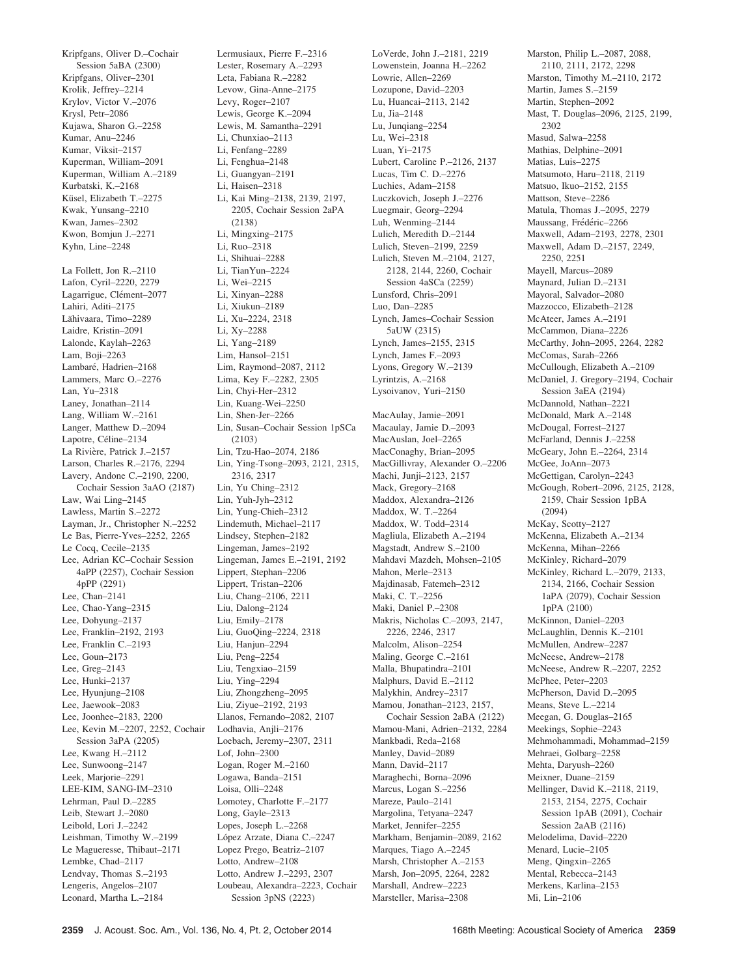Kripfgans, Oliver D.–Cochair Session 5aBA (2300) Kripfgans, Oliver–2301 Krolik, Jeffrey–2214 Krylov, Victor V.–2076 Krysl, Petr–2086 Kujawa, Sharon G.–2258 Kumar, Anu–2246 Kumar, Viksit–2157 Kuperman, William–2091 Kuperman, William A.–2189 Kurbatski, K.–2168 Küsel, Elizabeth T.–2275 Kwak, Yunsang–2210 Kwan, James–2302 Kwon, Bomjun J.–2271 Kyhn, Line–2248

La Follett, Jon R.–2110 Lafon, Cyril–2220, 2279 Lagarrigue, Clément-2077 Lahiri, Aditi–2175 Lähivaara, Timo-2289 Laidre, Kristin–2091 Lalonde, Kaylah–2263 Lam, Boji–2263 Lambaré, Hadrien-2168 Lammers, Marc O.–2276 Lan, Yu–2318 Laney, Jonathan–2114 Lang, William W.–2161 Langer, Matthew D.–2094 Lapotre, Céline–2134 La Rivière, Patrick J.–2157 Larson, Charles R.–2176, 2294 Lavery, Andone C.–2190, 2200, Cochair Session 3aAO (2187) Law, Wai Ling–2145 Lawless, Martin S.–2272 Layman, Jr., Christopher N.–2252 Le Bas, Pierre-Yves–2252, 2265 Le Cocq, Cecile–2135 Lee, Adrian KC–Cochair Session 4aPP (2257), Cochair Session 4pPP (2291) Lee, Chan–2141 Lee, Chao-Yang–2315 Lee, Dohyung–2137 Lee, Franklin–2192, 2193 Lee, Franklin C.–2193 Lee, Goun–2173 Lee, Greg–2143 Lee, Hunki–2137 Lee, Hyunjung–2108 Lee, Jaewook–2083 Lee, Joonhee–2183, 2200 Lee, Kevin M.–2207, 2252, Cochair Session 3aPA (2205) Lee, Kwang H.–2112 Lee, Sunwoong–2147 Leek, Marjorie–2291 LEE-KIM, SANG-IM–2310 Lehrman, Paul D.–2285 Leib, Stewart J.–2080 Leibold, Lori J.–2242 Leishman, Timothy W.–2199 Le Magueresse, Thibaut–2171 Lembke, Chad–2117 Lendvay, Thomas S.–2193 Lengeris, Angelos–2107 Leonard, Martha L.–2184

Lermusiaux, Pierre F.–2316 Lester, Rosemary A.–2293 Leta, Fabiana R.–2282 Levow, Gina-Anne–2175 Levy, Roger–2107 Lewis, George K.–2094 Lewis, M. Samantha–2291 Li, Chunxiao–2113 Li, Fenfang–2289 Li, Fenghua–2148 Li, Guangyan–2191 Li, Haisen–2318 Li, Kai Ming–2138, 2139, 2197, 2205, Cochair Session 2aPA (2138) Li, Mingxing–2175 Li, Ruo–2318 Li, Shihuai–2288 Li, TianYun–2224 Li, Wei–2215 Li, Xinyan–2288 Li, Xiukun–2189 Li, Xu–2224, 2318 Li, Xy–2288 Li, Yang–2189 Lim, Hansol–2151 Lim, Raymond–2087, 2112 Lima, Key F.–2282, 2305 Lin, Chyi-Her–2312 Lin, Kuang-Wei–2250 Lin, Shen-Jer–2266 Lin, Susan–Cochair Session 1pSCa (2103) Lin, Tzu-Hao–2074, 2186 Lin, Ying-Tsong–2093, 2121, 2315, 2316, 2317 Lin, Yu Ching–2312 Lin, Yuh-Jyh–2312 Lin, Yung-Chieh–2312 Lindemuth, Michael–2117 Lindsey, Stephen–2182 Lingeman, James–2192 Lingeman, James E.–2191, 2192 Lippert, Stephan–2206 Lippert, Tristan–2206 Liu, Chang–2106, 2211 Liu, Dalong–2124 Liu, Emily–2178 Liu, GuoQing–2224, 2318 Liu, Hanjun–2294 Liu, Peng–2254 Liu, Tengxiao–2159 Liu, Ying–2294 Liu, Zhongzheng–2095 Liu, Ziyue–2192, 2193 Llanos, Fernando–2082, 2107 Lodhavia, Anjli–2176 Loebach, Jeremy–2307, 2311 Lof, John–2300 Logan, Roger M.–2160 Logawa, Banda–2151 Loisa, Olli–2248 Lomotey, Charlotte F.–2177 Long, Gayle–2313 Lopes, Joseph L.–2268 López Arzate, Diana C.–2247 Lopez Prego, Beatriz–2107 Lotto, Andrew–2108 Lotto, Andrew J.–2293, 2307 Loubeau, Alexandra–2223, Cochair

LoVerde, John J.–2181, 2219 Lowenstein, Joanna H.–2262 Lowrie, Allen–2269 Lozupone, David–2203 Lu, Huancai–2113, 2142 Lu, Jia–2148 Lu, Junqiang–2254 Lu, Wei–2318 Luan, Yi–2175 Lubert, Caroline P.–2126, 2137 Lucas, Tim C. D.–2276 Luchies, Adam–2158 Luczkovich, Joseph J.–2276 Luegmair, Georg–2294 Luh, Wenming–2144 Lulich, Meredith D.–2144 Lulich, Steven–2199, 2259 Lulich, Steven M.–2104, 2127, 2128, 2144, 2260, Cochair Session 4aSCa (2259) Lunsford, Chris–2091 Luo, Dan–2285 Lynch, James–Cochair Session 5aUW (2315) Lynch, James–2155, 2315 Lynch, James F.–2093 Lyons, Gregory W.–2139 Lyrintzis, A.–2168 Lysoivanov, Yuri–2150 MacAulay, Jamie–2091 Macaulay, Jamie D.–2093 MacAuslan, Joel–2265 MacConaghy, Brian–2095 MacGillivray, Alexander O.–2206 Machi, Junji–2123, 2157 Mack, Gregory–2168 Maddox, Alexandra–2126 Maddox, W. T.–2264 Maddox, W. Todd–2314 Magliula, Elizabeth A.–2194 Magstadt, Andrew S.–2100 Mahdavi Mazdeh, Mohsen–2105 Mahon, Merle–2313 Majdinasab, Fatemeh–2312 Maki, C. T.–2256 Maki, Daniel P.–2308 Makris, Nicholas C.–2093, 2147, 2226, 2246, 2317 Malcolm, Alison–2254 Maling, George C.–2161 Malla, Bhupatindra–2101 Malphurs, David E.–2112 Malykhin, Andrey–2317 Mamou, Jonathan–2123, 2157, Cochair Session 2aBA (2122) Mamou-Mani, Adrien–2132, 2284 Mankbadi, Reda–2168 Manley, David–2089 Mann, David–2117 Maraghechi, Borna–2096 Marcus, Logan S.–2256 Mareze, Paulo–2141 Margolina, Tetyana–2247 Market, Jennifer–2255 Markham, Benjamin–2089, 2162 Marques, Tiago A.–2245 Marsh, Christopher A.–2153 Marsh, Jon–2095, 2264, 2282 Marshall, Andrew–2223 Marsteller, Marisa–2308

Marston, Philip L.–2087, 2088, 2110, 2111, 2172, 2298 Marston, Timothy M.–2110, 2172 Martin, James S.–2159 Martin, Stephen–2092 Mast, T. Douglas–2096, 2125, 2199, 2302 Masud, Salwa–2258 Mathias, Delphine–2091 Matias, Luis–2275 Matsumoto, Haru–2118, 2119 Matsuo, Ikuo–2152, 2155 Mattson, Steve–2286 Matula, Thomas J.–2095, 2279 Maussang, Frédéric-2266 Maxwell, Adam–2193, 2278, 2301 Maxwell, Adam D.–2157, 2249, 2250, 2251 Mayell, Marcus–2089 Maynard, Julian D.–2131 Mayoral, Salvador–2080 Mazzocco, Elizabeth–2128 McAteer, James A.–2191 McCammon, Diana–2226 McCarthy, John–2095, 2264, 2282 McComas, Sarah–2266 McCullough, Elizabeth A.–2109 McDaniel, J. Gregory–2194, Cochair Session 3aEA (2194) McDannold, Nathan–2221 McDonald, Mark A.–2148 McDougal, Forrest–2127 McFarland, Dennis J.–2258 McGeary, John E.–2264, 2314 McGee, JoAnn–2073 McGettigan, Carolyn–2243 McGough, Robert–2096, 2125, 2128, 2159, Chair Session 1pBA (2094) McKay, Scotty–2127 McKenna, Elizabeth A.–2134 McKenna, Mihan–2266 McKinley, Richard–2079 McKinley, Richard L.–2079, 2133, 2134, 2166, Cochair Session 1aPA (2079), Cochair Session 1pPA (2100) McKinnon, Daniel–2203 McLaughlin, Dennis K.–2101 McMullen, Andrew–2287 McNeese, Andrew–2178 McNeese, Andrew R.–2207, 2252 McPhee, Peter–2203 McPherson, David D.–2095 Means, Steve L.–2214 Meegan, G. Douglas–2165 Meekings, Sophie–2243 Mehmohammadi, Mohammad–2159 Mehraei, Golbarg–2258 Mehta, Daryush–2260 Meixner, Duane–2159 Mellinger, David K.–2118, 2119, 2153, 2154, 2275, Cochair Session 1pAB (2091), Cochair Session 2aAB (2116) Melodelima, David–2220 Menard, Lucie–2105 Meng, Qingxin–2265 Mental, Rebecca–2143 Merkens, Karlina–2153 Mi, Lin–2106

Session 3pNS (2223)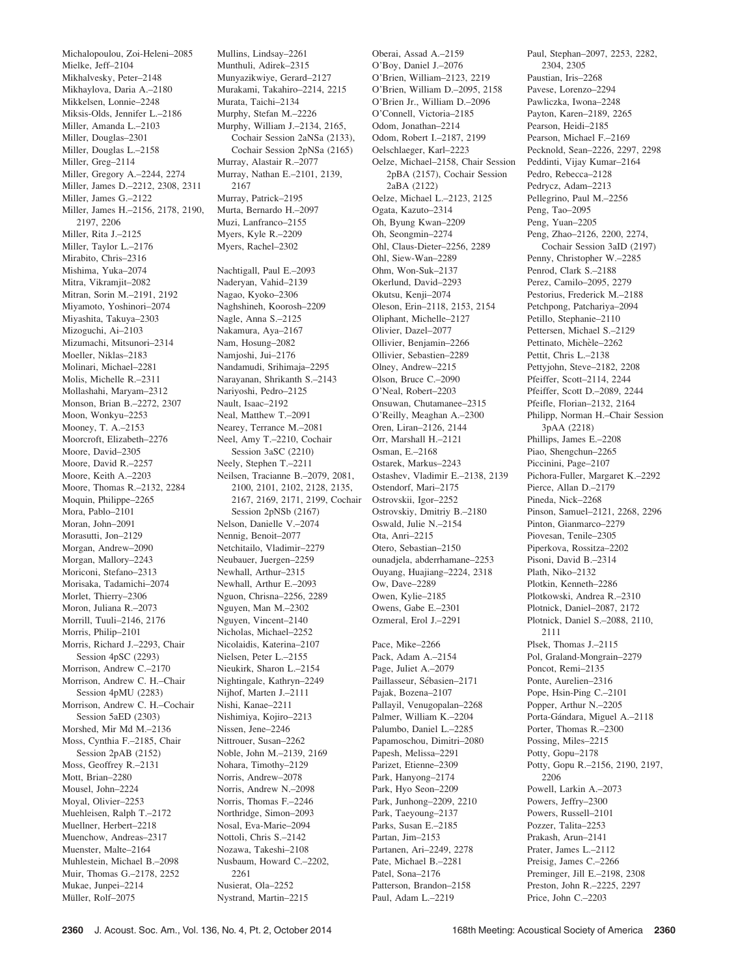Michalopoulou, Zoi-Heleni–2085 Mielke, Jeff–2104 Mikhalvesky, Peter–2148 Mikhaylova, Daria A.–2180 Mikkelsen, Lonnie–2248 Miksis-Olds, Jennifer L.–2186 Miller, Amanda L.–2103 Miller, Douglas–2301 Miller, Douglas L.–2158 Miller, Greg–2114 Miller, Gregory A.–2244, 2274 Miller, James D.–2212, 2308, 2311 Miller, James G.–2122 Miller, James H.–2156, 2178, 2190, 2197, 2206 Miller, Rita J.–2125 Miller, Taylor L.–2176 Mirabito, Chris–2316 Mishima, Yuka–2074 Mitra, Vikramjit–2082 Mitran, Sorin M.–2191, 2192 Miyamoto, Yoshinori–2074 Miyashita, Takuya–2303 Mizoguchi, Ai–2103 Mizumachi, Mitsunori–2314 Moeller, Niklas–2183 Molinari, Michael–2281 Molis, Michelle R.–2311 Mollashahi, Maryam–2312 Monson, Brian B.–2272, 2307 Moon, Wonkyu–2253 Mooney, T. A.–2153 Moorcroft, Elizabeth–2276 Moore, David–2305 Moore, David R.–2257 Moore, Keith A.–2203 Moore, Thomas R.–2132, 2284 Moquin, Philippe–2265 Mora, Pablo–2101 Moran, John–2091 Morasutti, Jon–2129 Morgan, Andrew–2090 Morgan, Mallory–2243 Moriconi, Stefano–2313 Morisaka, Tadamichi–2074 Morlet, Thierry–2306 Moron, Juliana R.–2073 Morrill, Tuuli–2146, 2176 Morris, Philip–2101 Morris, Richard J.–2293, Chair Session 4pSC (2293) Morrison, Andrew C.–2170 Morrison, Andrew C. H.–Chair Session 4pMU (2283) Morrison, Andrew C. H.–Cochair Session 5aED (2303) Morshed, Mir Md M.–2136 Moss, Cynthia F.–2185, Chair Session 2pAB (2152) Moss, Geoffrey R.–2131 Mott, Brian–2280 Mousel, John–2224 Moyal, Olivier–2253 Muehleisen, Ralph T.–2172 Muellner, Herbert–2218 Muenchow, Andreas–2317 Muenster, Malte–2164 Muhlestein, Michael B.–2098 Muir, Thomas G.–2178, 2252 Mukae, Junpei–2214 Müller, Rolf-2075

Mullins, Lindsay–2261 Munthuli, Adirek–2315 Munyazikwiye, Gerard–2127 Murakami, Takahiro–2214, 2215 Murata, Taichi–2134 Murphy, Stefan M.–2226 Murphy, William J.–2134, 2165, Cochair Session 2aNSa (2133), Cochair Session 2pNSa (2165) Murray, Alastair R.–2077 Murray, Nathan E.–2101, 2139, 2167 Murray, Patrick–2195 Murta, Bernardo H.–2097 Muzi, Lanfranco–2155 Myers, Kyle R.–2209 Myers, Rachel–2302 Nachtigall, Paul E.–2093

Naderyan, Vahid–2139 Nagao, Kyoko–2306 Naghshineh, Koorosh–2209 Nagle, Anna S.–2125 Nakamura, Aya–2167 Nam, Hosung–2082 Namjoshi, Jui–2176 Nandamudi, Srihimaja–2295 Narayanan, Shrikanth S.–2143 Nariyoshi, Pedro–2125 Nault, Isaac–2192 Neal, Matthew T.–2091 Nearey, Terrance M.–2081 Neel, Amy T.–2210, Cochair Session 3aSC (2210) Neely, Stephen T.–2211 Neilsen, Tracianne B.–2079, 2081, 2100, 2101, 2102, 2128, 2135, 2167, 2169, 2171, 2199, Cochair Session 2pNSb (2167) Nelson, Danielle V.–2074 Nennig, Benoit–2077 Netchitailo, Vladimir–2279 Neubauer, Juergen–2259 Newhall, Arthur–2315 Newhall, Arthur E.–2093 Nguon, Chrisna–2256, 2289 Nguyen, Man M.–2302 Nguyen, Vincent–2140 Nicholas, Michael–2252 Nicolaidis, Katerina–2107 Nielsen, Peter L.–2155 Nieukirk, Sharon L.–2154 Nightingale, Kathryn–2249 Nijhof, Marten J.–2111 Nishi, Kanae–2211 Nishimiya, Kojiro–2213 Nissen, Jene–2246 Nittrouer, Susan–2262 Noble, John M.–2139, 2169 Nohara, Timothy–2129 Norris, Andrew–2078 Norris, Andrew N.–2098 Norris, Thomas F.–2246 Northridge, Simon–2093 Nosal, Eva-Marie–2094 Nottoli, Chris S.–2142 Nozawa, Takeshi–2108 Nusbaum, Howard C.–2202, 2261 Nusierat, Ola–2252 Nystrand, Martin–2215

Oberai, Assad A.–2159 O'Boy, Daniel J.–2076 O'Brien, William–2123, 2219 O'Brien, William D.–2095, 2158 O'Brien Jr., William D.–2096 O'Connell, Victoria–2185 Odom, Jonathan–2214 Odom, Robert I.–2187, 2199 Oelschlaeger, Karl–2223 Oelze, Michael–2158, Chair Session 2pBA (2157), Cochair Session 2aBA (2122) Oelze, Michael L.–2123, 2125 Ogata, Kazuto–2314 Oh, Byung Kwan–2209 Oh, Seongmin–2274 Ohl, Claus-Dieter–2256, 2289 Ohl, Siew-Wan–2289 Ohm, Won-Suk–2137 Okerlund, David–2293 Okutsu, Kenji–2074 Oleson, Erin–2118, 2153, 2154 Oliphant, Michelle–2127 Olivier, Dazel–2077 Ollivier, Benjamin–2266 Ollivier, Sebastien–2289 Olney, Andrew–2215 Olson, Bruce C.–2090 O'Neal, Robert–2203 Onsuwan, Chutamanee–2315 O'Reilly, Meaghan A.–2300 Oren, Liran–2126, 2144 Orr, Marshall H.–2121 Osman, E.–2168 Ostarek, Markus–2243 Ostashev, Vladimir E.–2138, 2139 Ostendorf, Mari–2175 Ostrovskii, Igor–2252 Ostrovskiy, Dmitriy B.–2180 Oswald, Julie N.–2154 Ota, Anri–2215 Otero, Sebastian–2150 ounadjela, abderrhamane–2253 Ouyang, Huajiang–2224, 2318 Ow, Dave–2289 Owen, Kylie–2185 Owens, Gabe E.–2301 Ozmeral, Erol J.–2291 Pace, Mike–2266 Pack, Adam A.–2154 Page, Juliet A.–2079 Paillasseur, Sébasien–2171 Pajak, Bozena–2107 Pallayil, Venugopalan–2268 Palmer, William K.–2204 Palumbo, Daniel L.–2285 Papamoschou, Dimitri–2080 Papesh, Melissa–2291 Parizet, Etienne–2309 Park, Hanyong–2174 Park, Hyo Seon–2209 Park, Junhong–2209, 2210 Park, Taeyoung–2137 Parks, Susan E.–2185 Partan, Jim–2153 Partanen, Ari–2249, 2278 Pate, Michael B.–2281 Patel, Sona–2176 Patterson, Brandon–2158

Paul, Adam L.–2219

Paul, Stephan–2097, 2253, 2282, 2304, 2305 Paustian, Iris–2268 Pavese, Lorenzo–2294 Pawliczka, Iwona–2248 Payton, Karen–2189, 2265 Pearson, Heidi–2185 Pearson, Michael F-2169 Pecknold, Sean–2226, 2297, 2298 Peddinti, Vijay Kumar–2164 Pedro, Rebecca–2128 Pedrycz, Adam–2213 Pellegrino, Paul M.–2256 Peng, Tao–2095 Peng, Yuan–2205 Peng, Zhao–2126, 2200, 2274, Cochair Session 3aID (2197) Penny, Christopher W.–2285 Penrod, Clark S.–2188 Perez, Camilo–2095, 2279 Pestorius, Frederick M.–2188 Petchpong, Patchariya–2094 Petillo, Stephanie–2110 Pettersen, Michael S.–2129 Pettinato, Michèle-2262 Pettit, Chris L.–2138 Pettyjohn, Steve–2182, 2208 Pfeiffer, Scott–2114, 2244 Pfeiffer, Scott D.–2089, 2244 Pfeifle, Florian–2132, 2164 Philipp, Norman H.–Chair Session 3pAA (2218) Phillips, James E.–2208 Piao, Shengchun–2265 Piccinini, Page–2107 Pichora-Fuller, Margaret K.–2292 Pierce, Allan D.–2179 Pineda, Nick–2268 Pinson, Samuel–2121, 2268, 2296 Pinton, Gianmarco–2279 Piovesan, Tenile–2305 Piperkova, Rossitza–2202 Pisoni, David B.–2314 Plath, Niko–2132 Plotkin, Kenneth–2286 Plotkowski, Andrea R.–2310 Plotnick, Daniel–2087, 2172 Plotnick, Daniel S.–2088, 2110, 2111 Plsek, Thomas J.–2115 Pol, Graland-Mongrain–2279 Poncot, Remi–2135 Ponte, Aurelien–2316 Pope, Hsin-Ping C.–2101 Popper, Arthur N.–2205 Porta-Gándara, Miguel A.-2118 Porter, Thomas R.–2300 Possing, Miles–2215 Potty, Gopu–2178 Potty, Gopu R.–2156, 2190, 2197, 2206 Powell, Larkin A.–2073 Powers, Jeffry–2300 Powers, Russell–2101 Pozzer, Talita–2253 Prakash, Arun–2141 Prater, James L.–2112 Preisig, James C.–2266 Preminger, Jill E.–2198, 2308 Preston, John R.–2225, 2297

Price, John C.–2203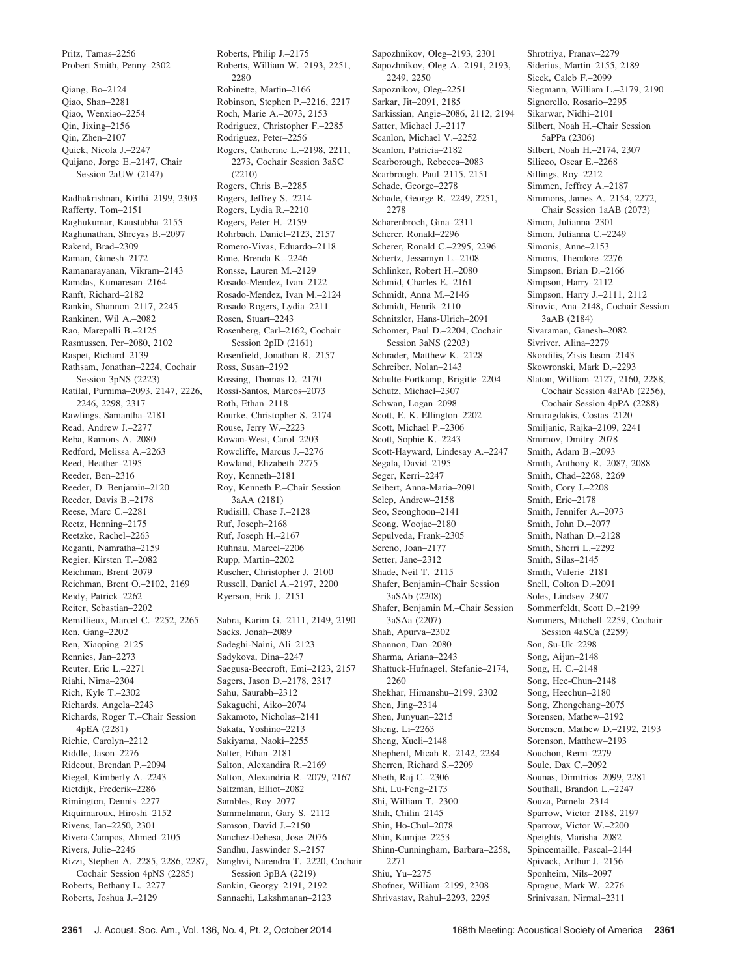Pritz, Tamas–2256 Probert Smith, Penny–2302

Qiang, Bo–2124 Qiao, Shan–2281 Qiao, Wenxiao–2254 Qin, Jixing–2156 Qin, Zhen–2107 Quick, Nicola J.–2247 Quijano, Jorge E.–2147, Chair Session 2aUW (2147)

Radhakrishnan, Kirthi–2199, 2303 Rafferty, Tom–2151 Raghukumar, Kaustubha–2155 Raghunathan, Shreyas B.–2097 Rakerd, Brad–2309 Raman, Ganesh–2172 Ramanarayanan, Vikram–2143 Ramdas, Kumaresan–2164 Ranft, Richard–2182 Rankin, Shannon–2117, 2245 Rankinen, Wil A.–2082 Rao, Marepalli B.–2125 Rasmussen, Per–2080, 2102 Raspet, Richard–2139 Rathsam, Jonathan–2224, Cochair Session 3pNS (2223) Ratilal, Purnima–2093, 2147, 2226, 2246, 2298, 2317 Rawlings, Samantha–2181 Read, Andrew J.–2277 Reba, Ramons A.–2080 Redford, Melissa A.–2263 Reed, Heather–2195 Reeder, Ben–2316 Reeder, D. Benjamin–2120 Reeder, Davis B.–2178 Reese, Marc C.–2281 Reetz, Henning–2175 Reetzke, Rachel–2263 Reganti, Namratha–2159 Regier, Kirsten T.–2082 Reichman, Brent–2079 Reichman, Brent O.–2102, 2169 Reidy, Patrick–2262 Reiter, Sebastian–2202 Remillieux, Marcel C.–2252, 2265 Ren, Gang–2202 Ren, Xiaoping–2125 Rennies, Jan–2273 Reuter, Eric L.–2271 Riahi, Nima–2304 Rich, Kyle T.–2302 Richards, Angela–2243 Richards, Roger T.–Chair Session 4pEA (2281) Richie, Carolyn–2212 Riddle, Jason–2276 Rideout, Brendan P.–2094 Riegel, Kimberly A.–2243 Rietdijk, Frederik–2286 Rimington, Dennis–2277 Riquimaroux, Hiroshi–2152 Rivens, Ian–2250, 2301 Rivera-Campos, Ahmed–2105 Rivers, Julie–2246 Rizzi, Stephen A.–2285, 2286, 2287, Cochair Session 4pNS (2285) Roberts, Bethany L.–2277 Roberts, Joshua J.–2129

Roberts, Philip J.–2175 Roberts, William W.–2193, 2251, 2280 Robinette, Martin–2166 Robinson, Stephen P.–2216, 2217 Roch, Marie A.–2073, 2153 Rodriguez, Christopher F.–2285 Rodriguez, Peter–2256 Rogers, Catherine L.–2198, 2211, 2273, Cochair Session 3aSC (2210) Rogers, Chris B.–2285 Rogers, Jeffrey S.–2214 Rogers, Lydia R.–2210 Rogers, Peter H.–2159 Rohrbach, Daniel–2123, 2157 Romero-Vivas, Eduardo–2118 Rone, Brenda K -2246 Ronsse, Lauren M.–2129 Rosado-Mendez, Ivan–2122 Rosado-Mendez, Ivan M.–2124 Rosado Rogers, Lydia–2211 Rosen, Stuart–2243 Rosenberg, Carl–2162, Cochair Session 2pID (2161) Rosenfield, Jonathan R.–2157 Ross, Susan–2192 Rossing, Thomas D.–2170 Rossi-Santos, Marcos–2073 Roth, Ethan–2118 Rourke, Christopher S.–2174 Rouse, Jerry W.–2223 Rowan-West, Carol–2203 Rowcliffe, Marcus J.–2276 Rowland, Elizabeth–2275 Roy, Kenneth–2181 Roy, Kenneth P.–Chair Session 3aAA (2181) Rudisill, Chase J.–2128 Ruf, Joseph–2168 Ruf, Joseph H.–2167 Ruhnau, Marcel–2206 Rupp, Martin–2202 Ruscher, Christopher J.–2100 Russell, Daniel A.–2197, 2200 Ryerson, Erik J.–2151 Sabra, Karim G.–2111, 2149, 2190 Sacks, Jonah–2089 Sadeghi-Naini, Ali–2123 Sadykova, Dina–2247 Saegusa-Beecroft, Emi–2123, 2157 Sagers, Jason D.–2178, 2317 Sahu, Saurabh–2312 Sakaguchi, Aiko–2074 Sakamoto, Nicholas–2141 Sakata, Yoshino–2213 Sakiyama, Naoki–2255 Salter, Ethan–2181 Salton, Alexandira R.–2169 Salton, Alexandria R.–2079, 2167 Saltzman, Elliot–2082

Sapozhnikov, Oleg A.–2191, 2193, 2249, 2250 Sapoznikov, Oleg–2251 Sarkar, Jit–2091, 2185 Sarkissian, Angie–2086, 2112, 2194 Satter, Michael J.–2117 Scanlon, Michael V.–2252 Scanlon, Patricia–2182 Scarborough, Rebecca–2083 Scarbrough, Paul–2115, 2151 Schade, George–2278 Schade, George R.–2249, 2251, 2278 Scharenbroch, Gina–2311 Scherer, Ronald–2296 Scherer, Ronald C.–2295, 2296 Schertz, Jessamyn L.–2108 Schlinker, Robert H.–2080 Schmid, Charles E.–2161 Schmidt, Anna M.–2146 Schmidt, Henrik–2110 Schnitzler, Hans-Ulrich–2091 Schomer, Paul D.–2204, Cochair Session 3aNS (2203) Schrader, Matthew K.–2128 Schreiber, Nolan–2143 Schulte-Fortkamp, Brigitte–2204 Schutz, Michael–2307 Schwan, Logan–2098 Scott, E. K. Ellington–2202 Scott, Michael P.–2306 Scott, Sophie K.–2243 Scott-Hayward, Lindesay A.–2247 Segala, David–2195 Seger, Kerri–2247 Seibert, Anna-Maria–2091 Selep, Andrew–2158 Seo, Seonghoon–2141 Seong, Woojae–2180 Sepulveda, Frank–2305 Sereno, Joan–2177 Setter, Jane–2312 Shade, Neil T.–2115 Shafer, Benjamin–Chair Session 3aSAb (2208) Shafer, Benjamin M.–Chair Session 3aSAa (2207) Shah, Apurva–2302 Shannon, Dan–2080 Sharma, Ariana–2243 Shattuck-Hufnagel, Stefanie–2174, 2260 Shekhar, Himanshu–2199, 2302 Shen, Jing–2314 Shen, Junyuan–2215 Sheng, Li–2263 Sheng, Xueli–2148 Shepherd, Micah R.–2142, 2284 Sherren, Richard S.–2209 Sheth, Raj C.–2306 Shi, Lu-Feng–2173 Shi, William T.–2300 Shih, Chilin–2145 Shin, Ho-Chul–2078 Shin, Kumjae–2253 Shinn-Cunningham, Barbara–2258, 2271 Shiu, Yu–2275 Shofner, William–2199, 2308 Shrivastav, Rahul–2293, 2295

Sapozhnikov, Oleg–2193, 2301

Shrotriya, Pranav–2279 Siderius, Martin–2155, 2189 Sieck, Caleb F.–2099 Siegmann, William L.–2179, 2190 Signorello, Rosario–2295 Sikarwar, Nidhi–2101 Silbert, Noah H.–Chair Session 5aPPa (2306) Silbert, Noah H.–2174, 2307 Siliceo, Oscar E.–2268 Sillings, Roy–2212 Simmen, Jeffrey A.–2187 Simmons, James A.–2154, 2272, Chair Session 1aAB (2073) Simon, Julianna–2301 Simon, Julianna C.–2249 Simonis, Anne–2153 Simons, Theodore–2276 Simpson, Brian D.–2166 Simpson, Harry–2112 Simpson, Harry J.–2111, 2112 Sirovic, Ana–2148, Cochair Session 3aAB (2184) Sivaraman, Ganesh–2082 Sivriver, Alina–2279 Skordilis, Zisis Iason–2143 Skowronski, Mark D.–2293 Slaton, William–2127, 2160, 2288, Cochair Session 4aPAb (2256), Cochair Session 4pPA (2288) Smaragdakis, Costas–2120 Smiljanic, Rajka–2109, 2241 Smirnov, Dmitry–2078 Smith, Adam B.–2093 Smith, Anthony R.–2087, 2088 Smith, Chad–2268, 2269 Smith, Cory J.–2208 Smith, Eric–2178 Smith, Jennifer A.–2073 Smith, John D.–2077 Smith, Nathan D.–2128 Smith, Sherri L.–2292 Smith, Silas–2145 Smith, Valerie–2181 Snell, Colton D<sub>-2091</sub> Soles, Lindsey–2307 Sommerfeldt, Scott D.–2199 Sommers, Mitchell–2259, Cochair Session 4aSCa (2259) Son, Su-Uk–2298 Song, Aijun–2148 Song, H. C.–2148 Song, Hee-Chun–2148 Song, Heechun–2180 Song, Zhongchang–2075 Sorensen, Mathew–2192 Sorensen, Mathew D.–2192, 2193 Sorenson, Matthew–2193 Souchon, Remi–2279 Soule, Dax C.–2092 Sounas, Dimitrios–2099, 2281 Southall, Brandon L.–2247 Souza, Pamela–2314 Sparrow, Victor–2188, 2197 Sparrow, Victor W.–2200 Speights, Marisha–2082 Spincemaille, Pascal–2144 Spivack, Arthur J.–2156 Sponheim, Nils–2097 Sprague, Mark W.–2276

Sambles, Roy–2077 Sammelmann, Gary S.–2112 Samson, David J.–2150 Sanchez-Dehesa, Jose–2076 Sandhu, Jaswinder S.–2157 Sanghvi, Narendra T.–2220, Cochair Session 3pBA (2219) Sankin, Georgy–2191, 2192 Sannachi, Lakshmanan–2123

Srinivasan, Nirmal–2311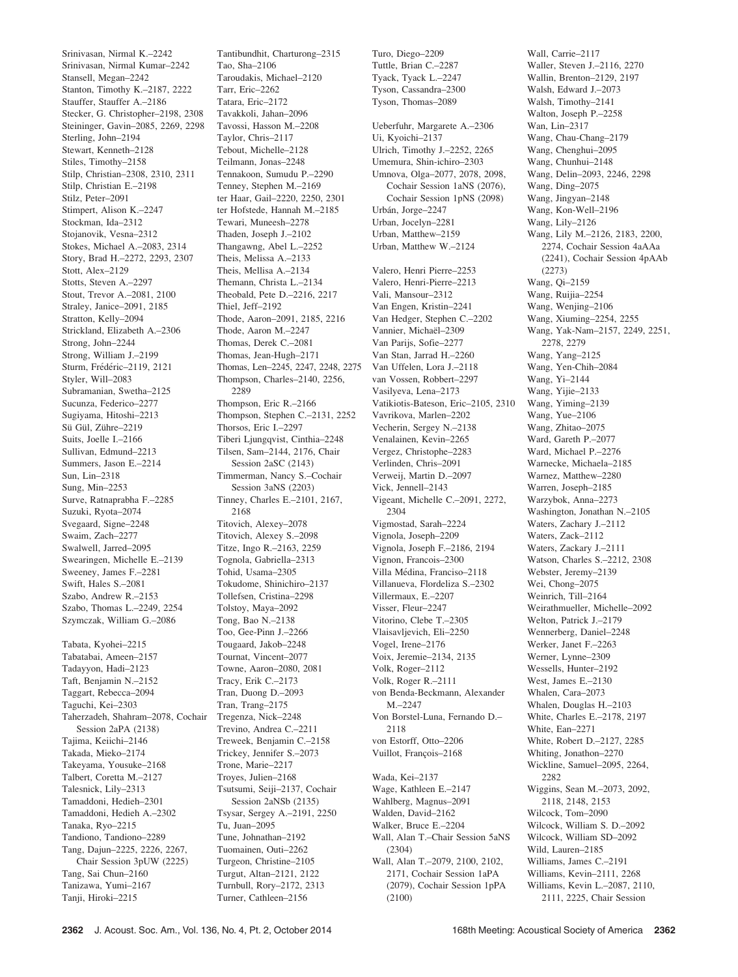Srinivasan, Nirmal K.–2242 Srinivasan, Nirmal Kumar–2242 Stansell, Megan–2242 Stanton, Timothy K.–2187, 2222 Stauffer, Stauffer A.–2186 Stecker, G. Christopher–2198, 2308 Steininger, Gavin–2085, 2269, 2298 Sterling, John–2194 Stewart, Kenneth–2128 Stiles, Timothy–2158 Stilp, Christian–2308, 2310, 2311 Stilp, Christian E.–2198 Stilz, Peter–2091 Stimpert, Alison K.–2247 Stockman, Ida–2312 Stojanovik, Vesna–2312 Stokes, Michael A.–2083, 2314 Story, Brad H.–2272, 2293, 2307 Stott, Alex–2129 Stotts, Steven A.–2297 Stout, Trevor A.–2081, 2100 Straley, Janice–2091, 2185 Stratton, Kelly–2094 Strickland, Elizabeth A.–2306 Strong, John–2244 Strong, William J.–2199 Sturm, Frédéric-2119, 2121 Styler, Will–2083 Subramanian, Swetha–2125 Sucunza, Federico–2277 Sugiyama, Hitoshi–2213 Sü Gül, Zühre-2219 Suits, Joelle I.–2166 Sullivan, Edmund–2213 Summers, Jason E.–2214 Sun, Lin–2318 Sung, Min–2253 Surve, Ratnaprabha F.–2285 Suzuki, Ryota–2074 Svegaard, Signe–2248 Swaim, Zach–2277 Swalwell, Jarred–2095 Swearingen, Michelle E.–2139 Sweeney, James F.–2281 Swift, Hales S.–2081 Szabo, Andrew R.–2153 Szabo, Thomas L.–2249, 2254 Szymczak, William G.–2086 Tabata, Kyohei–2215 Tabatabai, Ameen–2157 Tadayyon, Hadi–2123 Taft, Benjamin N.–2152 Taggart, Rebecca–2094 Taguchi, Kei–2303 Taherzadeh, Shahram–2078, Cochair Session 2aPA (2138) Tajima, Keiichi–2146 Takada, Mieko–2174 Takeyama, Yousuke–2168 Talbert, Coretta M.–2127 Talesnick, Lily–2313

Tamaddoni, Hedieh–2301 Tamaddoni, Hedieh A.–2302 Tanaka, Ryo–2215 Tandiono, Tandiono–2289 Tang, Dajun–2225, 2226, 2267, Chair Session 3pUW (2225)

Tang, Sai Chun–2160 Tanizawa, Yumi–2167 Tanji, Hiroki–2215

Tao, Sha–2106 Taroudakis, Michael–2120 Tarr, Eric–2262 Tatara, Eric–2172 Tavakkoli, Jahan–2096 Tavossi, Hasson M.–2208 Taylor, Chris–2117 Tebout, Michelle–2128 Teilmann, Jonas–2248 Tennakoon, Sumudu P.–2290 Tenney, Stephen M.–2169 ter Haar, Gail–2220, 2250, 2301 ter Hofstede, Hannah M.–2185 Tewari, Muneesh–2278 Thaden, Joseph J.–2102 Thangawng, Abel L.–2252 Theis, Melissa A -2133 Theis, Mellisa A.–2134 Themann, Christa L.–2134 Theobald, Pete D.–2216, 2217 Thiel, Jeff–2192 Thode, Aaron–2091, 2185, 2216 Thode, Aaron M.–2247 Thomas, Derek C.–2081 Thomas, Jean-Hugh–2171 Thomas, Len–2245, 2247, 2248, 2275 Thompson, Charles–2140, 2256, 2289 Thompson, Eric R.–2166 Thompson, Stephen C.–2131, 2252 Thorsos, Eric I.–2297 Tiberi Ljungqvist, Cinthia–2248 Tilsen, Sam–2144, 2176, Chair Session 2aSC (2143) Timmerman, Nancy S.–Cochair Session 3aNS (2203) Tinney, Charles E.–2101, 2167, 2168 Titovich, Alexey–2078 Titovich, Alexey S.–2098 Titze, Ingo R.–2163, 2259 Tognola, Gabriella–2313 Tohid, Usama–2305 Tokudome, Shinichiro–2137 Tollefsen, Cristina–2298 Tolstoy, Maya–2092 Tong, Bao N.–2138 Too, Gee-Pinn J.–2266 Tougaard, Jakob–2248 Tournat, Vincent–2077 Towne, Aaron–2080, 2081 Tracy, Erik C.–2173 Tran, Duong D.–2093 Tran, Trang–2175 Tregenza, Nick–2248 Trevino, Andrea C.–2211 Treweek, Benjamin C.–2158 Trickey, Jennifer S.–2073 Trone, Marie–2217 Troyes, Julien–2168 Tsutsumi, Seiji–2137, Cochair Session 2aNSb (2135) Tsysar, Sergey A.–2191, 2250 Tu, Juan–2095 Tune, Johnathan–2192 Tuomainen, Outi–2262 Turgeon, Christine–2105 Turgut, Altan–2121, 2122 Turnbull, Rory–2172, 2313 Turner, Cathleen–2156

Tantibundhit, Charturong–2315

Tyack, Tyack L.–2247 Tyson, Cassandra–2300 Tyson, Thomas–2089 Ueberfuhr, Margarete A.–2306 Ui, Kyoichi–2137 Ulrich, Timothy J.–2252, 2265 Umemura, Shin-ichiro–2303 Umnova, Olga–2077, 2078, 2098, Cochair Session 1aNS (2076), Cochair Session 1pNS (2098) Urbán, Jorge-2247 Urban, Jocelyn–2281 Urban, Matthew–2159 Urban, Matthew W.–2124 Valero, Henri Pierre–2253 Valero, Henri-Pierre–2213 Vali, Mansour–2312 Van Engen, Kristin–2241 Van Hedger, Stephen C.–2202 Vannier, Michaël-2309 Van Parijs, Sofie–2277 Van Stan, Jarrad H.–2260 Van Uffelen, Lora J.–2118 van Vossen, Robbert–2297 Vasilyeva, Lena–2173 Vatikiotis-Bateson, Eric–2105, 2310 Vavrikova, Marlen–2202 Vecherin, Sergey N.–2138 Venalainen, Kevin–2265 Vergez, Christophe–2283 Verlinden, Chris–2091 Verweij, Martin D.–2097 Vick, Jennell–2143 Vigeant, Michelle C.–2091, 2272, 2304 Vigmostad, Sarah–2224 Vignola, Joseph–2209 Vignola, Joseph F.–2186, 2194 Vignon, Francois–2300 Villa Médina, Franciso-2118 Villanueva, Flordeliza S.–2302 Villermaux, E.–2207 Visser, Fleur–2247 Vitorino, Clebe T.–2305 Vlaisavljevich, Eli–2250 Vogel, Irene–2176 Voix, Jeremie–2134, 2135 Volk, Roger–2112 Volk, Roger R.–2111 von Benda-Beckmann, Alexander M.–2247 Von Borstel-Luna, Fernando D.– 2118 von Estorff, Otto–2206 Vuillot, François-2168 Wada, Kei–2137 Wage, Kathleen E.–2147 Wahlberg, Magnus–2091 Walden, David–2162 Walker, Bruce E.–2204 Wall, Alan T.–Chair Session 5aNS (2304) Wall, Alan T.–2079, 2100, 2102, 2171, Cochair Session 1aPA (2079), Cochair Session 1pPA (2100)

Turo, Diego–2209 Tuttle, Brian C.–2287 Wall, Carrie–2117 Waller, Steven J.–2116, 2270 Wallin, Brenton–2129, 2197 Walsh, Edward J.–2073 Walsh, Timothy–2141 Walton, Joseph P.–2258 Wan, Lin–2317 Wang, Chau-Chang–2179 Wang, Chenghui–2095 Wang, Chunhui–2148 Wang, Delin–2093, 2246, 2298 Wang, Ding–2075 Wang, Jingyan–2148 Wang, Kon-Well–2196 Wang, Lily–2126 Wang, Lily M.–2126, 2183, 2200, 2274, Cochair Session 4aAAa (2241), Cochair Session 4pAAb (2273) Wang, Qi–2159 Wang, Ruijia–2254 Wang, Wenjing–2106 Wang, Xiuming–2254, 2255 Wang, Yak-Nam–2157, 2249, 2251, 2278, 2279 Wang, Yang–2125 Wang, Yen-Chih–2084 Wang, Yi–2144 Wang, Yijie–2133 Wang, Yiming–2139 Wang, Yue–2106 Wang, Zhitao–2075 Ward, Gareth P.–2077 Ward, Michael P.–2276 Warnecke, Michaela–2185 Warnez, Matthew–2280 Warren, Joseph–2185 Warzybok, Anna–2273 Washington, Jonathan N.–2105 Waters, Zachary J.–2112 Waters, Zack–2112 Waters, Zackary J.–2111 Watson, Charles S.–2212, 2308 Webster, Jeremy–2139 Wei, Chong–2075 Weinrich, Till–2164 Weirathmueller, Michelle–2092 Welton, Patrick J.–2179 Wennerberg, Daniel–2248 Werker, Janet F.–2263 Werner, Lynne–2309 Wessells, Hunter–2192 West, James E.–2130 Whalen, Cara–2073 Whalen, Douglas H.–2103 White, Charles E.–2178, 2197 White, Ean–2271 White, Robert D.–2127, 2285 Whiting, Jonathon–2270 Wickline, Samuel–2095, 2264, 2282 Wiggins, Sean M.–2073, 2092, 2118, 2148, 2153 Wilcock, Tom–2090 Wilcock, William S. D.–2092 Wilcock, William SD–2092 Wild, Lauren–2185 Williams, James C.–2191 Williams, Kevin–2111, 2268 Williams, Kevin L.–2087, 2110, 2111, 2225, Chair Session